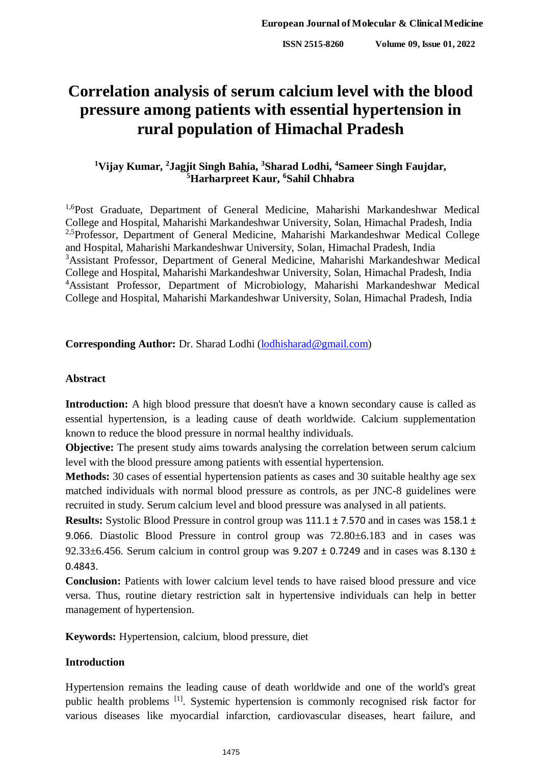# **Correlation analysis of serum calcium level with the blood pressure among patients with essential hypertension in rural population of Himachal Pradesh**

# **<sup>1</sup>Vijay Kumar, <sup>2</sup> Jagjit Singh Bahia, <sup>3</sup>Sharad Lodhi, <sup>4</sup>Sameer Singh Faujdar, <sup>5</sup>Harharpreet Kaur, <sup>6</sup>Sahil Chhabra**

<sup>1,6</sup>Post Graduate, Department of General Medicine, Maharishi Markandeshwar Medical College and Hospital, Maharishi Markandeshwar University, Solan, Himachal Pradesh, India <sup>2,5</sup>Professor, Department of General Medicine, Maharishi Markandeshwar Medical College and Hospital, Maharishi Markandeshwar University, Solan, Himachal Pradesh, India <sup>3</sup>Assistant Professor, Department of General Medicine, Maharishi Markandeshwar Medical College and Hospital, Maharishi Markandeshwar University, Solan, Himachal Pradesh, India <sup>4</sup>Assistant Professor, Department of Microbiology, Maharishi Markandeshwar Medical College and Hospital, Maharishi Markandeshwar University, Solan, Himachal Pradesh, India

**Corresponding Author:** Dr. Sharad Lodhi [\(lodhisharad@gmail.com\)](mailto:lodhisharad@gmail.com)

## **Abstract**

**Introduction:** A high blood pressure that doesn't have a known secondary cause is called as essential hypertension, is a leading cause of death worldwide. Calcium supplementation known to reduce the blood pressure in normal healthy individuals.

**Objective:** The present study aims towards analysing the correlation between serum calcium level with the blood pressure among patients with essential hypertension.

**Methods:** 30 cases of essential hypertension patients as cases and 30 suitable healthy age sex matched individuals with normal blood pressure as controls, as per JNC-8 guidelines were recruited in study. Serum calcium level and blood pressure was analysed in all patients.

**Results:** Systolic Blood Pressure in control group was 111.1 ± 7.570 and in cases was 158.1 ± 9.066. Diastolic Blood Pressure in control group was 72.80±6.183 and in cases was 92.33 $\pm$ 6.456. Serum calcium in control group was 9.207  $\pm$  0.7249 and in cases was 8.130  $\pm$ 0.4843.

**Conclusion:** Patients with lower calcium level tends to have raised blood pressure and vice versa. Thus, routine dietary restriction salt in hypertensive individuals can help in better management of hypertension.

**Keywords:** Hypertension, calcium, blood pressure, diet

## **Introduction**

Hypertension remains the leading cause of death worldwide and one of the world's great public health problems [1]. Systemic hypertension is commonly recognised risk factor for various diseases like myocardial infarction, cardiovascular diseases, heart failure, and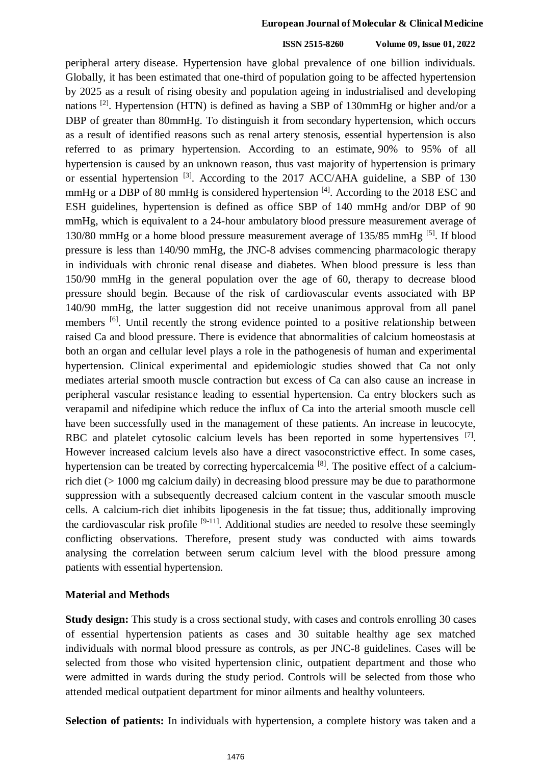#### **European Journal of Molecular & Clinical Medicine**

#### **ISSN 2515-8260 Volume 09, Issue 01, 2022**

peripheral artery disease. Hypertension have global prevalence of one billion individuals. Globally, it has been estimated that one-third of population going to be affected hypertension by 2025 as a result of rising obesity and population ageing in industrialised and developing nations [2]. Hypertension (HTN) is defined as having a SBP of 130mmHg or higher and/or a DBP of greater than 80mmHg. To distinguish it from secondary hypertension, which occurs as a result of identified reasons such as renal artery stenosis, essential hypertension is also referred to as primary hypertension. According to an estimate, 90% to 95% of all hypertension is caused by an unknown reason, thus vast majority of hypertension is primary or essential hypertension [3]. According to the 2017 ACC/AHA guideline, a SBP of 130 mmHg or a DBP of 80 mmHg is considered hypertension [4]. According to the 2018 ESC and ESH guidelines, hypertension is defined as office SBP of 140 mmHg and/or DBP of 90 mmHg, which is equivalent to a 24-hour ambulatory blood pressure measurement average of 130/80 mmHg or a home blood pressure measurement average of 135/85 mmHg [5]. If blood pressure is less than 140/90 mmHg, the JNC-8 advises commencing pharmacologic therapy in individuals with chronic renal disease and diabetes. When blood pressure is less than 150/90 mmHg in the general population over the age of 60, therapy to decrease blood pressure should begin. Because of the risk of cardiovascular events associated with BP 140/90 mmHg, the latter suggestion did not receive unanimous approval from all panel members <sup>[6]</sup>. Until recently the strong evidence pointed to a positive relationship between raised Ca and blood pressure. There is evidence that abnormalities of calcium homeostasis at both an organ and cellular level plays a role in the pathogenesis of human and experimental hypertension. Clinical experimental and epidemiologic studies showed that Ca not only mediates arterial smooth muscle contraction but excess of Ca can also cause an increase in peripheral vascular resistance leading to essential hypertension. Ca entry blockers such as verapamil and nifedipine which reduce the influx of Ca into the arterial smooth muscle cell have been successfully used in the management of these patients. An increase in leucocyte, RBC and platelet cytosolic calcium levels has been reported in some hypertensives  $[7]$ . However increased calcium levels also have a direct vasoconstrictive effect. In some cases, hypertension can be treated by correcting hypercalcemia [8]. The positive effect of a calciumrich diet (> 1000 mg calcium daily) in decreasing blood pressure may be due to parathormone suppression with a subsequently decreased calcium content in the vascular smooth muscle cells. A calcium-rich diet inhibits lipogenesis in the fat tissue; thus, additionally improving the cardiovascular risk profile  $[9-11]$ . Additional studies are needed to resolve these seemingly conflicting observations. Therefore, present study was conducted with aims towards analysing the correlation between serum calcium level with the blood pressure among patients with essential hypertension.

### **Material and Methods**

**Study design:** This study is a cross sectional study, with cases and controls enrolling 30 cases of essential hypertension patients as cases and 30 suitable healthy age sex matched individuals with normal blood pressure as controls, as per JNC-8 guidelines. Cases will be selected from those who visited hypertension clinic, outpatient department and those who were admitted in wards during the study period. Controls will be selected from those who attended medical outpatient department for minor ailments and healthy volunteers.

**Selection of patients:** In individuals with hypertension, a complete history was taken and a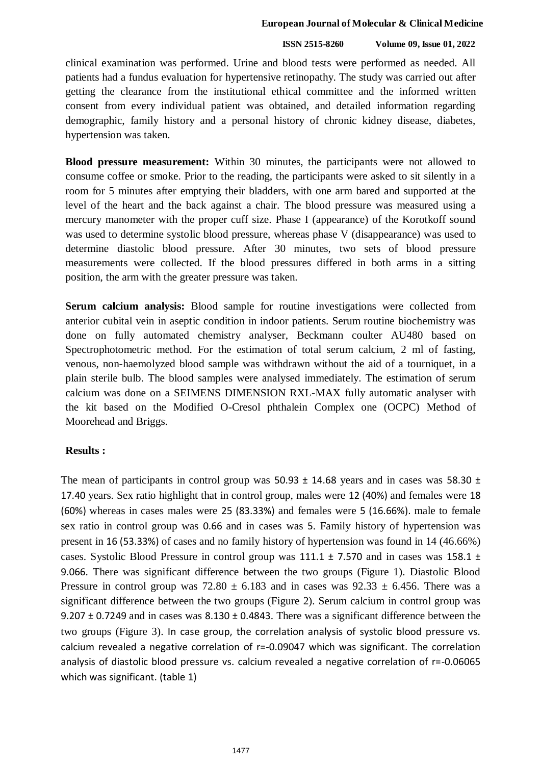#### **European Journal of Molecular & Clinical Medicine**

#### **ISSN 2515-8260 Volume 09, Issue 01, 2022**

clinical examination was performed. Urine and blood tests were performed as needed. All patients had a fundus evaluation for hypertensive retinopathy. The study was carried out after getting the clearance from the institutional ethical committee and the informed written consent from every individual patient was obtained, and detailed information regarding demographic, family history and a personal history of chronic kidney disease, diabetes, hypertension was taken.

**Blood pressure measurement:** Within 30 minutes, the participants were not allowed to consume coffee or smoke. Prior to the reading, the participants were asked to sit silently in a room for 5 minutes after emptying their bladders, with one arm bared and supported at the level of the heart and the back against a chair. The blood pressure was measured using a mercury manometer with the proper cuff size. Phase I (appearance) of the Korotkoff sound was used to determine systolic blood pressure, whereas phase V (disappearance) was used to determine diastolic blood pressure. After 30 minutes, two sets of blood pressure measurements were collected. If the blood pressures differed in both arms in a sitting position, the arm with the greater pressure was taken.

**Serum calcium analysis:** Blood sample for routine investigations were collected from anterior cubital vein in aseptic condition in indoor patients. Serum routine biochemistry was done on fully automated chemistry analyser, Beckmann coulter AU480 based on Spectrophotometric method. For the estimation of total serum calcium, 2 ml of fasting, venous, non-haemolyzed blood sample was withdrawn without the aid of a tourniquet, in a plain sterile bulb. The blood samples were analysed immediately. The estimation of serum calcium was done on a SEIMENS DIMENSION RXL-MAX fully automatic analyser with the kit based on the Modified O-Cresol phthalein Complex one (OCPC) Method of Moorehead and Briggs.

## **Results :**

The mean of participants in control group was  $50.93 \pm 14.68$  years and in cases was  $58.30 \pm 14.68$ 17.40 years. Sex ratio highlight that in control group, males were 12 (40%) and females were 18 (60%) whereas in cases males were 25 (83.33%) and females were 5 (16.66%). male to female sex ratio in control group was 0.66 and in cases was 5. Family history of hypertension was present in 16 (53.33%) of cases and no family history of hypertension was found in 14 (46.66%) cases. Systolic Blood Pressure in control group was 111.1 ± 7.570 and in cases was 158.1 ± 9.066. There was significant difference between the two groups (Figure 1). Diastolic Blood Pressure in control group was  $72.80 \pm 6.183$  and in cases was  $92.33 \pm 6.456$ . There was a significant difference between the two groups (Figure 2). Serum calcium in control group was 9.207  $\pm$  0.7249 and in cases was 8.130  $\pm$  0.4843. There was a significant difference between the two groups (Figure 3). In case group, the correlation analysis of systolic blood pressure vs. calcium revealed a negative correlation of r=-0.09047 which was significant. The correlation analysis of diastolic blood pressure vs. calcium revealed a negative correlation of r=-0.06065 which was significant. (table 1)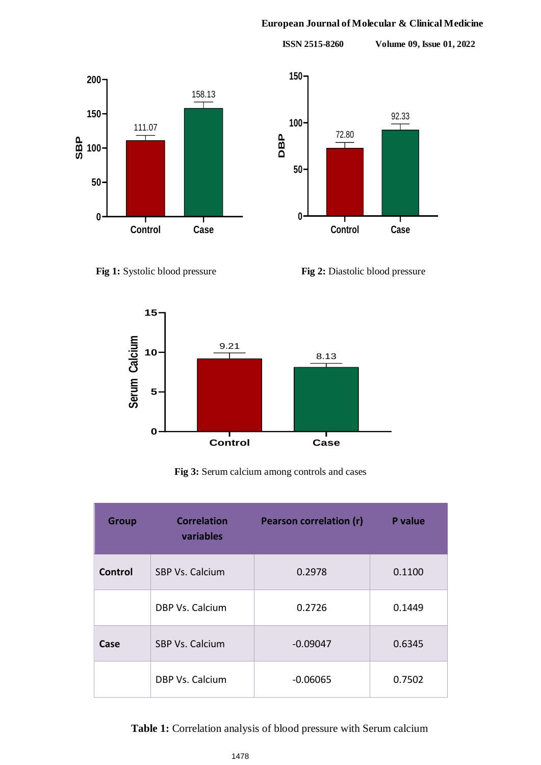## **European Journal of Molecular & Clinical Medicine**

**ISSN 2515-8260 Volume 09, Issue 01, 2022**









**Fig 3:** Serum calcium among controls and cases

| <b>Group</b>   | <b>Correlation</b><br>variables | <b>Pearson correlation (r)</b> | P value |
|----------------|---------------------------------|--------------------------------|---------|
| <b>Control</b> | SBP Vs. Calcium                 | 0.2978                         | 0.1100  |
|                | DBP Vs. Calcium                 | 0.2726                         | 0.1449  |
| Case           | SBP Vs. Calcium                 | $-0.09047$                     | 0.6345  |
|                | DBP Vs. Calcium                 | $-0.06065$                     | 0.7502  |

 **Table 1:** Correlation analysis of blood pressure with Serum calcium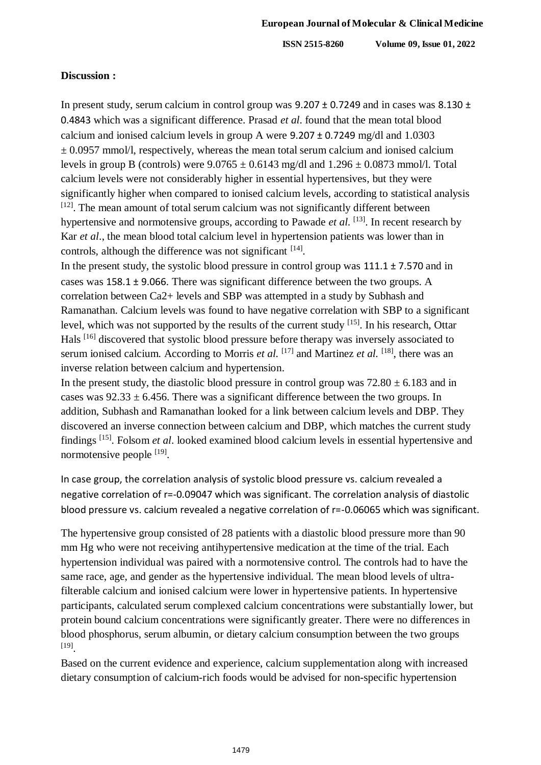**ISSN 2515-8260 Volume 09, Issue 01, 2022**

## **Discussion :**

In present study, serum calcium in control group was 9.207 ± 0.7249 and in cases was 8.130 ± 0.4843 which was a significant difference. Prasad *et al*. found that the mean total blood calcium and ionised calcium levels in group A were 9.207 ± 0.7249 mg/dl and 1.0303  $\pm$  0.0957 mmol/l, respectively, whereas the mean total serum calcium and ionised calcium levels in group B (controls) were  $9.0765 \pm 0.6143$  mg/dl and  $1.296 \pm 0.0873$  mmol/l. Total calcium levels were not considerably higher in essential hypertensives, but they were significantly higher when compared to ionised calcium levels, according to statistical analysis [12]. The mean amount of total serum calcium was not significantly different between hypertensive and normotensive groups, according to Pawade *et al*. [13]. In recent research by Kar *et al*., the mean blood total calcium level in hypertension patients was lower than in controls, although the difference was not significant [14].

In the present study, the systolic blood pressure in control group was  $111.1 \pm 7.570$  and in cases was 158.1 ± 9.066. There was significant difference between the two groups. A correlation between Ca2+ levels and SBP was attempted in a study by Subhash and Ramanathan. Calcium levels was found to have negative correlation with SBP to a significant level, which was not supported by the results of the current study  $[15]$ . In his research, Ottar Hals [16] discovered that systolic blood pressure before therapy was inversely associated to serum ionised calcium. According to Morris *et al.* [17] and Martinez *et al.* [18], there was an inverse relation between calcium and hypertension.

In the present study, the diastolic blood pressure in control group was  $72.80 \pm 6.183$  and in cases was  $92.33 \pm 6.456$ . There was a significant difference between the two groups. In addition, Subhash and Ramanathan looked for a link between calcium levels and DBP. They discovered an inverse connection between calcium and DBP, which matches the current study findings [15] . Folsom *et al*. looked examined blood calcium levels in essential hypertensive and normotensive people <sup>[19]</sup>.

In case group, the correlation analysis of systolic blood pressure vs. calcium revealed a negative correlation of r=-0.09047 which was significant. The correlation analysis of diastolic blood pressure vs. calcium revealed a negative correlation of r=-0.06065 which was significant.

The hypertensive group consisted of 28 patients with a diastolic blood pressure more than 90 mm Hg who were not receiving antihypertensive medication at the time of the trial. Each hypertension individual was paired with a normotensive control. The controls had to have the same race, age, and gender as the hypertensive individual. The mean blood levels of ultrafilterable calcium and ionised calcium were lower in hypertensive patients. In hypertensive participants, calculated serum complexed calcium concentrations were substantially lower, but protein bound calcium concentrations were significantly greater. There were no differences in blood phosphorus, serum albumin, or dietary calcium consumption between the two groups [19] .

Based on the current evidence and experience, calcium supplementation along with increased dietary consumption of calcium-rich foods would be advised for non-specific hypertension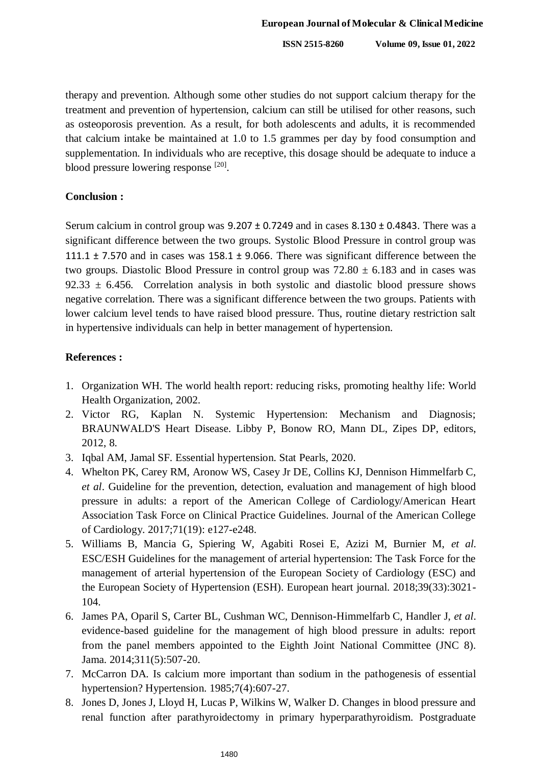**ISSN 2515-8260 Volume 09, Issue 01, 2022**

therapy and prevention. Although some other studies do not support calcium therapy for the treatment and prevention of hypertension, calcium can still be utilised for other reasons, such as osteoporosis prevention. As a result, for both adolescents and adults, it is recommended that calcium intake be maintained at 1.0 to 1.5 grammes per day by food consumption and supplementation. In individuals who are receptive, this dosage should be adequate to induce a blood pressure lowering response [20].

## **Conclusion :**

Serum calcium in control group was  $9.207 \pm 0.7249$  and in cases  $8.130 \pm 0.4843$ . There was a significant difference between the two groups. Systolic Blood Pressure in control group was 111.1  $\pm$  7.570 and in cases was 158.1  $\pm$  9.066. There was significant difference between the two groups. Diastolic Blood Pressure in control group was  $72.80 \pm 6.183$  and in cases was  $92.33 \pm 6.456$ . Correlation analysis in both systolic and diastolic blood pressure shows negative correlation. There was a significant difference between the two groups. Patients with lower calcium level tends to have raised blood pressure. Thus, routine dietary restriction salt in hypertensive individuals can help in better management of hypertension.

## **References :**

- 1. Organization WH. The world health report: reducing risks, promoting healthy life: World Health Organization, 2002.
- 2. Victor RG, Kaplan N. Systemic Hypertension: Mechanism and Diagnosis; BRAUNWALD'S Heart Disease. Libby P, Bonow RO, Mann DL, Zipes DP, editors, 2012, 8.
- 3. Iqbal AM, Jamal SF. Essential hypertension. Stat Pearls, 2020.
- 4. Whelton PK, Carey RM, Aronow WS, Casey Jr DE, Collins KJ, Dennison Himmelfarb C, *et al*. Guideline for the prevention, detection, evaluation and management of high blood pressure in adults: a report of the American College of Cardiology/American Heart Association Task Force on Clinical Practice Guidelines. Journal of the American College of Cardiology. 2017;71(19): e127-e248.
- 5. Williams B, Mancia G, Spiering W, Agabiti Rosei E, Azizi M, Burnier M, *et al*. ESC/ESH Guidelines for the management of arterial hypertension: The Task Force for the management of arterial hypertension of the European Society of Cardiology (ESC) and the European Society of Hypertension (ESH). European heart journal. 2018;39(33):3021- 104.
- 6. James PA, Oparil S, Carter BL, Cushman WC, Dennison-Himmelfarb C, Handler J, *et al*. evidence-based guideline for the management of high blood pressure in adults: report from the panel members appointed to the Eighth Joint National Committee (JNC 8). Jama. 2014;311(5):507-20.
- 7. McCarron DA. Is calcium more important than sodium in the pathogenesis of essential hypertension? Hypertension. 1985;7(4):607-27.
- 8. Jones D, Jones J, Lloyd H, Lucas P, Wilkins W, Walker D. Changes in blood pressure and renal function after parathyroidectomy in primary hyperparathyroidism. Postgraduate